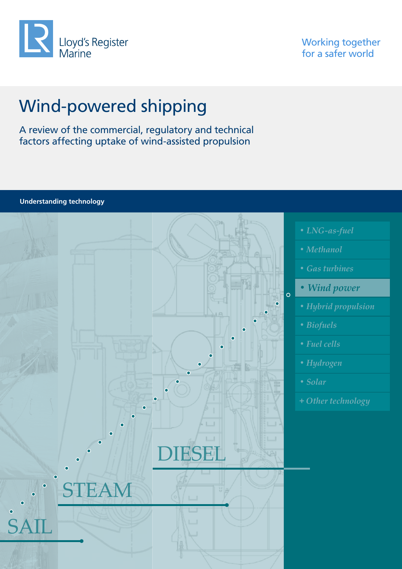

Working together for a safer world

# Wind-powered shipping

A review of the commercial, regulatory and technical factors affecting uptake of wind-assisted propulsion

*• LNG-as-fuel • Methanol • Gas turbines • Wind power*  $\circ$ *• Hybrid propulsion • Biofuels • Fuel cells • Hydrogen • Solar*  **+** *Other technology* DIESEL **TEAM** SAIL

**Understanding technology**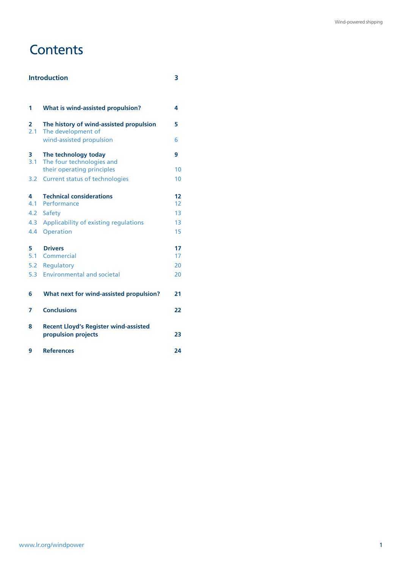## **Contents**

### **Introduction 3**

| 1        | What is wind-assisted propulsion?                             | 4        |
|----------|---------------------------------------------------------------|----------|
| 2<br>2.1 | The history of wind-assisted propulsion<br>The development of | 5        |
|          | wind-assisted propulsion                                      | 6        |
| 3<br>3.1 | The technology today<br>The four technologies and             | 9        |
|          | their operating principles                                    | 10       |
| 3.2      | <b>Current status of technologies</b>                         | 10       |
| 4        | <b>Technical considerations</b>                               | 12       |
| 4.1      | Performance                                                   | 12       |
| 4.2      | Safety                                                        | 13       |
| 4.3      | Applicability of existing regulations                         | 13       |
| 4.4      | Operation                                                     | 15       |
| 5<br>5.1 | <b>Drivers</b>                                                | 17<br>17 |
|          | Commercial                                                    |          |
| 5.2      | Regulatory                                                    | 20       |
| 5.3      | <b>Environmental and societal</b>                             | 20       |
| 6        | What next for wind-assisted propulsion?                       | 21       |
| 7        | <b>Conclusions</b>                                            | 22       |
| 8        | <b>Recent Lloyd's Register wind-assisted</b>                  |          |
|          | propulsion projects                                           | 23       |
| 9        | <b>References</b>                                             | 24       |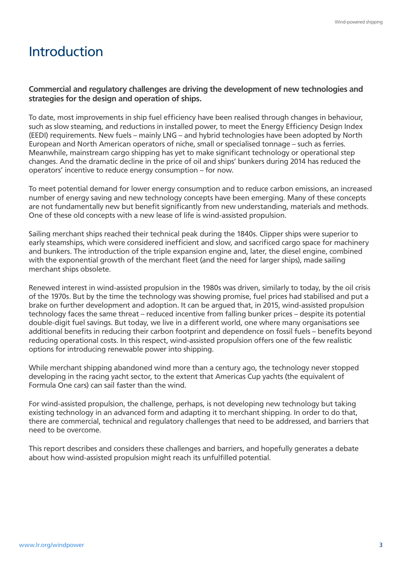## Introduction

### **Commercial and regulatory challenges are driving the development of new technologies and strategies for the design and operation of ships.**

To date, most improvements in ship fuel efficiency have been realised through changes in behaviour, such as slow steaming, and reductions in installed power, to meet the Energy Efficiency Design Index (EEDI) requirements. New fuels – mainly LNG – and hybrid technologies have been adopted by North European and North American operators of niche, small or specialised tonnage – such as ferries. Meanwhile, mainstream cargo shipping has yet to make significant technology or operational step changes. And the dramatic decline in the price of oil and ships' bunkers during 2014 has reduced the operators' incentive to reduce energy consumption – for now.

To meet potential demand for lower energy consumption and to reduce carbon emissions, an increased number of energy saving and new technology concepts have been emerging. Many of these concepts are not fundamentally new but benefit significantly from new understanding, materials and methods. One of these old concepts with a new lease of life is wind-assisted propulsion.

Sailing merchant ships reached their technical peak during the 1840s. Clipper ships were superior to early steamships, which were considered inefficient and slow, and sacrificed cargo space for machinery and bunkers. The introduction of the triple expansion engine and, later, the diesel engine, combined with the exponential growth of the merchant fleet (and the need for larger ships), made sailing merchant ships obsolete.

Renewed interest in wind-assisted propulsion in the 1980s was driven, similarly to today, by the oil crisis of the 1970s. But by the time the technology was showing promise, fuel prices had stabilised and put a brake on further development and adoption. It can be argued that, in 2015, wind-assisted propulsion technology faces the same threat – reduced incentive from falling bunker prices – despite its potential double-digit fuel savings. But today, we live in a different world, one where many organisations see additional benefits in reducing their carbon footprint and dependence on fossil fuels – benefits beyond reducing operational costs. In this respect, wind-assisted propulsion offers one of the few realistic options for introducing renewable power into shipping.

While merchant shipping abandoned wind more than a century ago, the technology never stopped developing in the racing yacht sector, to the extent that Americas Cup yachts (the equivalent of Formula One cars) can sail faster than the wind.

For wind-assisted propulsion, the challenge, perhaps, is not developing new technology but taking existing technology in an advanced form and adapting it to merchant shipping. In order to do that, there are commercial, technical and regulatory challenges that need to be addressed, and barriers that need to be overcome.

This report describes and considers these challenges and barriers, and hopefully generates a debate about how wind-assisted propulsion might reach its unfulfilled potential.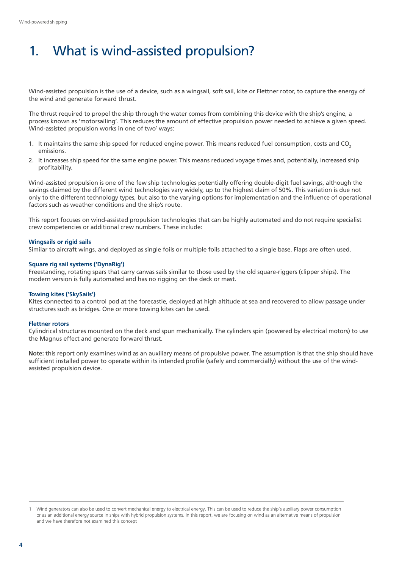# 1. What is wind-assisted propulsion?

Wind-assisted propulsion is the use of a device, such as a wingsail, soft sail, kite or Flettner rotor, to capture the energy of the wind and generate forward thrust.

The thrust required to propel the ship through the water comes from combining this device with the ship's engine, a process known as 'motorsailing'. This reduces the amount of effective propulsion power needed to achieve a given speed. Wind-assisted propulsion works in one of two<sup>1</sup> ways:

- 1. It maintains the same ship speed for reduced engine power. This means reduced fuel consumption, costs and CO<sub>2</sub> emissions.
- 2. It increases ship speed for the same engine power. This means reduced voyage times and, potentially, increased ship profitability.

Wind-assisted propulsion is one of the few ship technologies potentially offering double-digit fuel savings, although the savings claimed by the different wind technologies vary widely, up to the highest claim of 50%. This variation is due not only to the different technology types, but also to the varying options for implementation and the influence of operational factors such as weather conditions and the ship's route.

This report focuses on wind-assisted propulsion technologies that can be highly automated and do not require specialist crew competencies or additional crew numbers. These include:

#### **Wingsails or rigid sails**

Similar to aircraft wings, and deployed as single foils or multiple foils attached to a single base. Flaps are often used.

#### **Square rig sail systems ('DynaRig')**

Freestanding, rotating spars that carry canvas sails similar to those used by the old square-riggers (clipper ships). The modern version is fully automated and has no rigging on the deck or mast.

#### **Towing kites ('SkySails')**

Kites connected to a control pod at the forecastle, deployed at high altitude at sea and recovered to allow passage under structures such as bridges. One or more towing kites can be used.

#### **Flettner rotors**

Cylindrical structures mounted on the deck and spun mechanically. The cylinders spin (powered by electrical motors) to use the Magnus effect and generate forward thrust.

**Note:** this report only examines wind as an auxiliary means of propulsive power. The assumption is that the ship should have sufficient installed power to operate within its intended profile (safely and commercially) without the use of the windassisted propulsion device.

<sup>1</sup> Wind generators can also be used to convert mechanical energy to electrical energy. This can be used to reduce the ship's auxiliary power consumption or as an additional energy source in ships with hybrid propulsion systems. In this report, we are focusing on wind as an alternative means of propulsion and we have therefore not examined this concept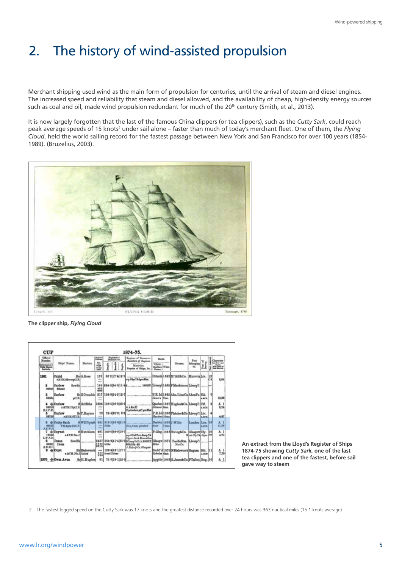# 2. The history of wind-assisted propulsion

Merchant shipping used wind as the main form of propulsion for centuries, until the arrival of steam and diesel engines. The increased speed and reliability that steam and diesel allowed, and the availability of cheap, high-density energy sources such as coal and oil, made wind propulsion redundant for much of the 20<sup>th</sup> century (Smith, et al., 2013).

It is now largely forgotten that the last of the famous China clippers (or tea clippers), such as the *Cutty Sark*, could reach peak average speeds of 15 knots<sup>2</sup> under sail alone – faster than much of today's merchant fleet. One of them, the Flying *Cloud*, held the world sailing record for the fastest passage between New York and San Francisco for over 100 years (1854- 1989). (Bruzelius, 2003).



**The clipper ship,** *Flying Cloud*



**An extract from the Lloyd's Register of Ships 1874-75 showing** *Cutty Sark,* **one of the last tea clippers and one of the fastest, before sail gave way to steam** 

2 The fastest logged speed on the Cutty Sark was 17 knots and the greatest distance recorded over 24 hours was 363 nautical miles (15.1 knots average).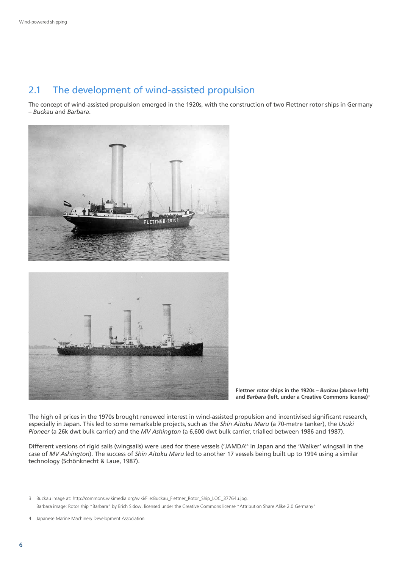## 2.1 The development of wind-assisted propulsion

The concept of wind-assisted propulsion emerged in the 1920s, with the construction of two Flettner rotor ships in Germany – *Buckau* and *Barbara*.



**Flettner rotor ships in the 1920s –** *Buckau* **(above left) and** *Barbara* **(left, under a Creative Commons license)3**

The high oil prices in the 1970s brought renewed interest in wind-assisted propulsion and incentivised significant research, especially in Japan. This led to some remarkable projects, such as the *Shin Aitoku Maru* (a 70-metre tanker), the *Usuki Pioneer* (a 26k dwt bulk carrier) and the *MV Ashington* (a 6,600 dwt bulk carrier, trialled between 1986 and 1987).

Different versions of rigid sails (wingsails) were used for these vessels ('JAMDA'4 in Japan and the 'Walker' wingsail in the case of *MV Ashington*). The success of *Shin Aitoku Maru* led to another 17 vessels being built up to 1994 using a similar technology (Schönknecht & Laue, 1987).

4 Japanese Marine Machinery Development Association

<sup>3</sup> Buckau image at: http://commons.wikimedia.org/wiki/File:Buckau\_Flettner\_Rotor\_Ship\_LOC\_37764u.jpg. Barbara image: Rotor ship "Barbara" by Erich Sidow, licensed under the Creative Commons license "Attribution Share Alike 2.0 Germany"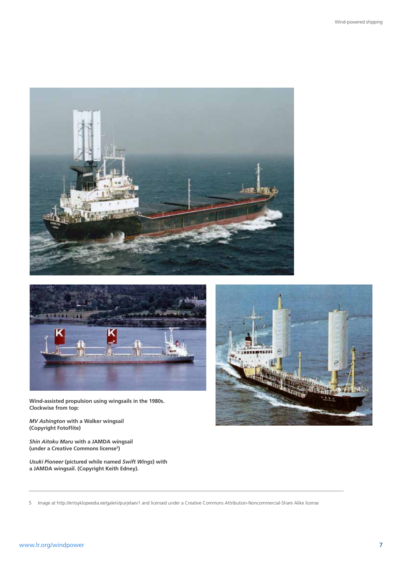



**Wind-assisted propulsion using wingsails in the 1980s. Clockwise from top:** 

*MV Ashington* **with a Walker wingsail (Copyright FotoFlite)** 

*Shin Aitoku Maru* **with a JAMDA wingsail (under a Creative Commons license5 )**

*Usuki Pioneer* **(pictured while named** *Swift Wings***) with a JAMDA wingsail. (Copyright Keith Edney).**



5 Image at http://entsyklopeedia.ee/galerii/purjelaev1 and licensed under a Creative Commons Attribution-Noncommercial-Share Alike license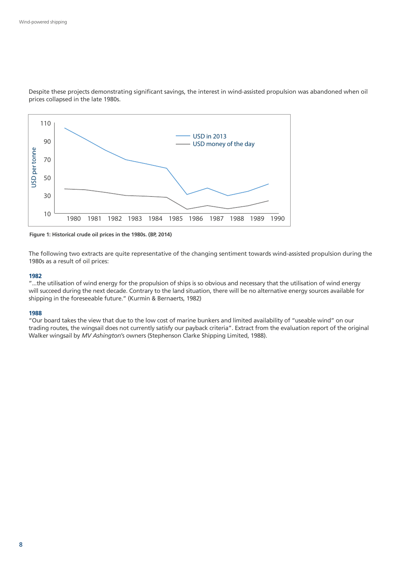

Despite these projects demonstrating significant savings, the interest in wind-assisted propulsion was abandoned when oil prices collapsed in the late 1980s.

**Figure 1: Historical crude oil prices in the 1980s. (BP, 2014)**

The following two extracts are quite representative of the changing sentiment towards wind-assisted propulsion during the 1980s as a result of oil prices:

#### **1982**

"...the utilisation of wind energy for the propulsion of ships is so obvious and necessary that the utilisation of wind energy will succeed during the next decade. Contrary to the land situation, there will be no alternative energy sources available for shipping in the foreseeable future." (Kurmin & Bernaerts, 1982)

#### **1988**

"Our board takes the view that due to the low cost of marine bunkers and limited availability of "useable wind" on our trading routes, the wingsail does not currently satisfy our payback criteria". Extract from the evaluation report of the original Walker wingsail by *MV Ashington*'s owners (Stephenson Clarke Shipping Limited, 1988).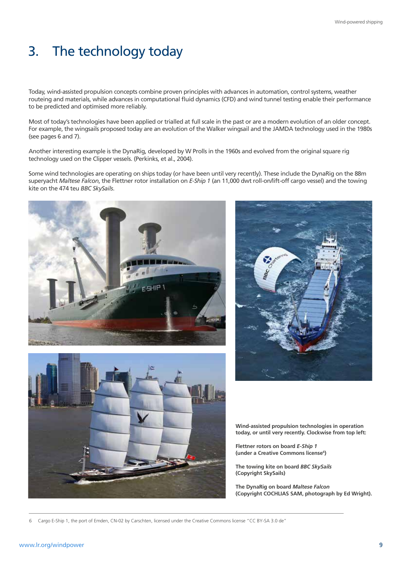# 3. The technology today

Today, wind-assisted propulsion concepts combine proven principles with advances in automation, control systems, weather routeing and materials, while advances in computational fluid dynamics (CFD) and wind tunnel testing enable their performance to be predicted and optimised more reliably.

Most of today's technologies have been applied or trialled at full scale in the past or are a modern evolution of an older concept. For example, the wingsails proposed today are an evolution of the Walker wingsail and the JAMDA technology used in the 1980s (see pages 6 and 7).

Another interesting example is the DynaRig, developed by W Prolls in the 1960s and evolved from the original square rig technology used on the Clipper vessels. (Perkinks, et al., 2004).

Some wind technologies are operating on ships today (or have been until very recently). These include the DynaRig on the 88m superyacht *Maltese Falcon*, the Flettner rotor installation on *E-Ship 1* (an 11,000 dwt roll-on/lift-off cargo vessel) and the towing kite on the 474 teu *BBC SkySails*.







**Wind-assisted propulsion technologies in operation today, or until very recently. Clockwise from top left:** 

**Flettner rotors on board** *E-Ship 1*  **(under a Creative Commons license6 )**

**The towing kite on board** *BBC SkySails* **(Copyright SkySails)**

**The DynaRig on board** *Maltese Falcon* **(Copyright COCHLIAS SAM, photograph by Ed Wright).**

6 Cargo E-Ship 1, the port of Emden, CN-02 by Carschten, licensed under the Creative Commons license "CC BY-SA 3.0 de"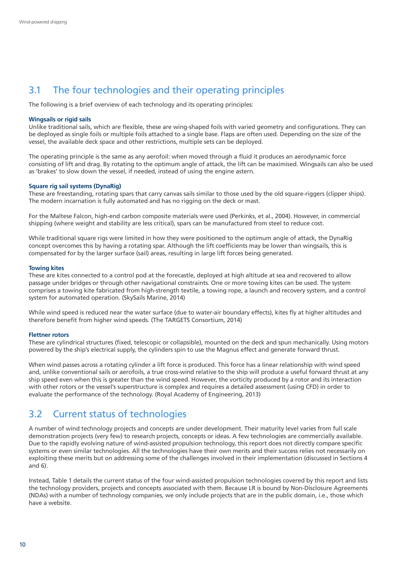## 3.1 The four technologies and their operating principles

The following is a brief overview of each technology and its operating principles:

#### **Wingsails or rigid sails**

Unlike traditional sails, which are flexible, these are wing-shaped foils with varied geometry and configurations. They can be deployed as single foils or multiple foils attached to a single base. Flaps are often used. Depending on the size of the vessel, the available deck space and other restrictions, multiple sets can be deployed.

The operating principle is the same as any aerofoil: when moved through a fluid it produces an aerodynamic force consisting of lift and drag. By rotating to the optimum angle of attack, the lift can be maximised. Wingsails can also be used as 'brakes' to slow down the vessel, if needed, instead of using the engine astern.

#### **Square rig sail systems (DynaRig)**

These are freestanding, rotating spars that carry canvas sails similar to those used by the old square-riggers (clipper ships). The modern incarnation is fully automated and has no rigging on the deck or mast.

For the Maltese Falcon, high-end carbon composite materials were used (Perkinks, et al., 2004). However, in commercial shipping (where weight and stability are less critical), spars can be manufactured from steel to reduce cost.

While traditional square rigs were limited in how they were positioned to the optimum angle of attack, the DynaRig concept overcomes this by having a rotating spar. Although the lift coefficients may be lower than wingsails, this is compensated for by the larger surface (sail) areas, resulting in large lift forces being generated.

#### **Towing kites**

These are kites connected to a control pod at the forecastle, deployed at high altitude at sea and recovered to allow passage under bridges or through other navigational constraints. One or more towing kites can be used. The system comprises a towing kite fabricated from high-strength textile, a towing rope, a launch and recovery system, and a control system for automated operation. (SkySails Marine, 2014)

While wind speed is reduced near the water surface (due to water-air boundary effects), kites fly at higher altitudes and therefore benefit from higher wind speeds. (The TARGETS Consortium, 2014)

#### **Flettner rotors**

These are cylindrical structures (fixed, telescopic or collapsible), mounted on the deck and spun mechanically. Using motors powered by the ship's electrical supply, the cylinders spin to use the Magnus effect and generate forward thrust.

When wind passes across a rotating cylinder a lift force is produced. This force has a linear relationship with wind speed and, unlike conventional sails or aerofoils, a true cross-wind relative to the ship will produce a useful forward thrust at any ship speed even when this is greater than the wind speed. However, the vorticity produced by a rotor and its interaction with other rotors or the vessel's superstructure is complex and requires a detailed assessment (using CFD) in order to evaluate the performance of the technology. (Royal Academy of Engineering, 2013)

### 3.2 Current status of technologies

A number of wind technology projects and concepts are under development. Their maturity level varies from full scale demonstration projects (very few) to research projects, concepts or ideas. A few technologies are commercially available. Due to the rapidly evolving nature of wind-assisted propulsion technology, this report does not directly compare specific systems or even similar technologies. All the technologies have their own merits and their success relies not necessarily on exploiting these merits but on addressing some of the challenges involved in their implementation (discussed in Sections 4 and 6).

Instead, Table 1 details the current status of the four wind-assisted propulsion technologies covered by this report and lists the technology providers, projects and concepts associated with them. Because LR is bound by Non-Disclosure Agreements (NDAs) with a number of technology companies, we only include projects that are in the public domain, i.e., those which have a website.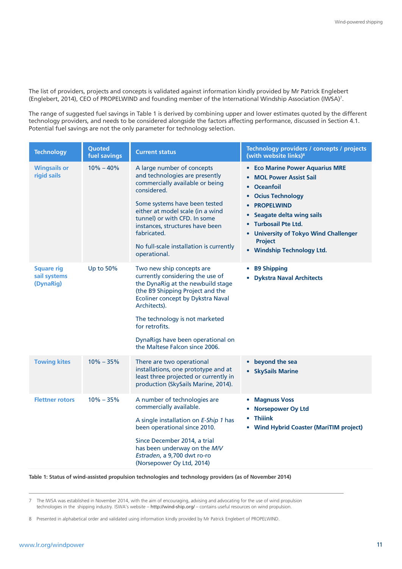The list of providers, projects and concepts is validated against information kindly provided by Mr Patrick Englebert (Englebert, 2014), CEO of PROPELWIND and founding member of the International Windship Association (IWSA)7 .

The range of suggested fuel savings in Table 1 is derived by combining upper and lower estimates quoted by the different technology providers, and needs to be considered alongside the factors affecting performance, discussed in Section 4.1. Potential fuel savings are not the only parameter for technology selection.

| <b>Technology</b>                              | Quoted<br>fuel savings | <b>Current status</b>                                                                                                                                                                                                                                                                                                            | Technology providers / concepts / projects<br>(with website links) <sup>8</sup>                                                                                                                                                                                                                                                                                                           |
|------------------------------------------------|------------------------|----------------------------------------------------------------------------------------------------------------------------------------------------------------------------------------------------------------------------------------------------------------------------------------------------------------------------------|-------------------------------------------------------------------------------------------------------------------------------------------------------------------------------------------------------------------------------------------------------------------------------------------------------------------------------------------------------------------------------------------|
| <b>Wingsails or</b><br>rigid sails             | $10\% - 40\%$          | A large number of concepts<br>and technologies are presently<br>commercially available or being<br>considered.<br>Some systems have been tested<br>either at model scale (in a wind<br>tunnel) or with CFD. In some<br>instances, structures have been<br>fabricated.<br>No full-scale installation is currently<br>operational. | <b>Eco Marine Power Aquarius MRE</b><br>٠<br><b>MOL Power Assist Sail</b><br>$\bullet$<br><b>Oceanfoil</b><br>$\bullet$<br><b>Ocius Technology</b><br>$\bullet$<br><b>PROPELWIND</b><br>$\bullet$<br><b>Seagate delta wing sails</b><br>$\bullet$<br><b>Turbosail Pte Ltd.</b><br>$\bullet$<br><b>University of Tokyo Wind Challenger</b><br><b>Project</b><br>• Windship Technology Ltd. |
| <b>Square rig</b><br>sail systems<br>(DynaRig) | Up to 50%              | Two new ship concepts are<br>currently considering the use of<br>the DynaRig at the newbuild stage<br>(the B9 Shipping Project and the<br>Ecoliner concept by Dykstra Naval<br>Architects).<br>The technology is not marketed<br>for retrofits.<br>DynaRigs have been operational on<br>the Maltese Falcon since 2006.           | <b>B9 Shipping</b><br>۰<br><b>Dykstra Naval Architects</b><br>۰                                                                                                                                                                                                                                                                                                                           |
| <b>Towing kites</b>                            | $10\% - 35\%$          | There are two operational<br>installations, one prototype and at<br>least three projected or currently in<br>production (SkySails Marine, 2014).                                                                                                                                                                                 | beyond the sea<br>$\bullet$<br><b>SkySails Marine</b><br>$\bullet$                                                                                                                                                                                                                                                                                                                        |
| <b>Flettner rotors</b>                         | $10\% - 35\%$          | A number of technologies are<br>commercially available.<br>A single installation on E-Ship 1 has<br>been operational since 2010.<br>Since December 2014, a trial<br>has been underway on the M/V<br>Estraden, a 9,700 dwt ro-ro<br>(Norsepower Oy Ltd, 2014)                                                                     | <b>Magnuss Voss</b><br>$\bullet$<br><b>Norsepower Oy Ltd</b><br><b>Thiiink</b><br>$\bullet$<br><b>Wind Hybrid Coaster (MariTIM project)</b><br>٠                                                                                                                                                                                                                                          |

**Table 1: Status of wind-assisted propulsion technologies and technology providers (as of November 2014)**

7 The IWSA was established in November 2014, with the aim of encouraging, advising and advocating for the use of wind propulsion technologies in the shipping industry. ISWA's website – <http://wind-ship.org/>– contains useful resources on wind propulsion.

8 Presented in alphabetical order and validated using information kindly provided by Mr Patrick Englebert of PROPELWIND.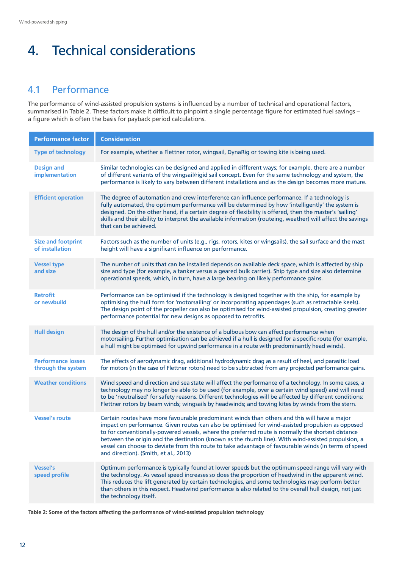# 4. Technical considerations

## 4.1 Performance

The performance of wind-assisted propulsion systems is influenced by a number of technical and operational factors, summarised in Table 2. These factors make it difficult to pinpoint a single percentage figure for estimated fuel savings – a figure which is often the basis for payback period calculations.

| <b>Performance factor</b>                       | <b>Consideration</b>                                                                                                                                                                                                                                                                                                                                                                                                                                                                                                                                            |  |  |
|-------------------------------------------------|-----------------------------------------------------------------------------------------------------------------------------------------------------------------------------------------------------------------------------------------------------------------------------------------------------------------------------------------------------------------------------------------------------------------------------------------------------------------------------------------------------------------------------------------------------------------|--|--|
| <b>Type of technology</b>                       | For example, whether a Flettner rotor, wingsail, DynaRig or towing kite is being used.                                                                                                                                                                                                                                                                                                                                                                                                                                                                          |  |  |
| <b>Design and</b><br>implementation             | Similar technologies can be designed and applied in different ways; for example, there are a number<br>of different variants of the wingsail/rigid sail concept. Even for the same technology and system, the<br>performance is likely to vary between different installations and as the design becomes more mature.                                                                                                                                                                                                                                           |  |  |
| <b>Efficient operation</b>                      | The degree of automation and crew interference can influence performance. If a technology is<br>fully automated, the optimum performance will be determined by how 'intelligently' the system is<br>designed. On the other hand, if a certain degree of flexibility is offered, then the master's 'sailing'<br>skills and their ability to interpret the available information (routeing, weather) will affect the savings<br>that can be achieved.                                                                                                             |  |  |
| <b>Size and footprint</b><br>of installation    | Factors such as the number of units (e.g., rigs, rotors, kites or wingsails), the sail surface and the mast<br>height will have a significant influence on performance.                                                                                                                                                                                                                                                                                                                                                                                         |  |  |
| <b>Vessel type</b><br>and size                  | The number of units that can be installed depends on available deck space, which is affected by ship<br>size and type (for example, a tanker versus a geared bulk carrier). Ship type and size also determine<br>operational speeds, which, in turn, have a large bearing on likely performance gains.                                                                                                                                                                                                                                                          |  |  |
| <b>Retrofit</b><br>or newbuild                  | Performance can be optimised if the technology is designed together with the ship, for example by<br>optimising the hull form for 'motorsailing' or incorporating appendages (such as retractable keels).<br>The design point of the propeller can also be optimised for wind-assisted propulsion, creating greater<br>performance potential for new designs as opposed to retrofits.                                                                                                                                                                           |  |  |
| <b>Hull design</b>                              | The design of the hull and/or the existence of a bulbous bow can affect performance when<br>motorsailing. Further optimisation can be achieved if a hull is designed for a specific route (for example,<br>a hull might be optimised for upwind performance in a route with predominantly head winds).                                                                                                                                                                                                                                                          |  |  |
| <b>Performance losses</b><br>through the system | The effects of aerodynamic drag, additional hydrodynamic drag as a result of heel, and parasitic load<br>for motors (in the case of Flettner rotors) need to be subtracted from any projected performance gains.                                                                                                                                                                                                                                                                                                                                                |  |  |
| <b>Weather conditions</b>                       | Wind speed and direction and sea state will affect the performance of a technology. In some cases, a<br>technology may no longer be able to be used (for example, over a certain wind speed) and will need<br>to be 'neutralised' for safety reasons. Different technologies will be affected by different conditions:<br>Flettner rotors by beam winds; wingsails by headwinds; and towing kites by winds from the stern.                                                                                                                                      |  |  |
| <b>Vessel's route</b>                           | Certain routes have more favourable predominant winds than others and this will have a major<br>impact on performance. Given routes can also be optimised for wind-assisted propulsion as opposed<br>to for conventionally-powered vessels, where the preferred route is normally the shortest distance<br>between the origin and the destination (known as the rhumb line). With wind-assisted propulsion, a<br>vessel can choose to deviate from this route to take advantage of favourable winds (in terms of speed<br>and direction). (Smith, et al., 2013) |  |  |
| <b>Vessel's</b><br>speed profile                | Optimum performance is typically found at lower speeds but the optimum speed range will vary with<br>the technology. As vessel speed increases so does the proportion of headwind in the apparent wind.<br>This reduces the lift generated by certain technologies, and some technologies may perform better<br>than others in this respect. Headwind performance is also related to the overall hull design, not just<br>the technology itself.                                                                                                                |  |  |

**Table 2: Some of the factors affecting the performance of wind-assisted propulsion technology**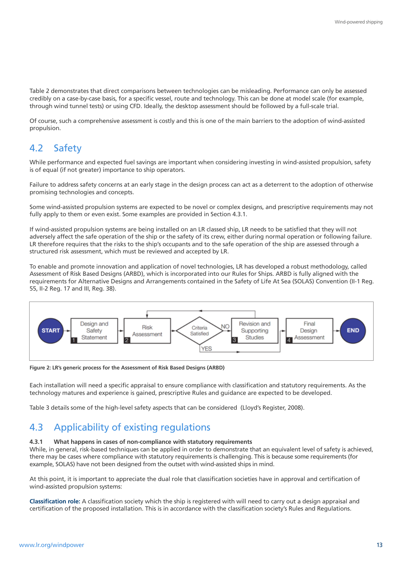Table 2 demonstrates that direct comparisons between technologies can be misleading. Performance can only be assessed credibly on a case-by-case basis, for a specific vessel, route and technology. This can be done at model scale (for example, through wind tunnel tests) or using CFD. Ideally, the desktop assessment should be followed by a full-scale trial.

Of course, such a comprehensive assessment is costly and this is one of the main barriers to the adoption of wind-assisted propulsion.

## 4.2 Safety

While performance and expected fuel savings are important when considering investing in wind-assisted propulsion, safety is of equal (if not greater) importance to ship operators.

Failure to address safety concerns at an early stage in the design process can act as a deterrent to the adoption of otherwise promising technologies and concepts.

Some wind-assisted propulsion systems are expected to be novel or complex designs, and prescriptive requirements may not fully apply to them or even exist. Some examples are provided in Section 4.3.1.

If wind-assisted propulsion systems are being installed on an LR classed ship, LR needs to be satisfied that they will not adversely affect the safe operation of the ship or the safety of its crew, either during normal operation or following failure. LR therefore requires that the risks to the ship's occupants and to the safe operation of the ship are assessed through a structured risk assessment, which must be reviewed and accepted by LR.

To enable and promote innovation and application of novel technologies, LR has developed a robust methodology, called Assessment of Risk Based Designs (ARBD), which is incorporated into our Rules for Ships. ARBD is fully aligned with the requirements for Alternative Designs and Arrangements contained in the Safety of Life At Sea (SOLAS) Convention (II-1 Reg. 55, II-2 Reg. 17 and III, Reg. 38).



**Figure 2: LR's generic process for the Assessment of Risk Based Designs (ARBD)**

Each installation will need a specific appraisal to ensure compliance with classification and statutory requirements. As the technology matures and experience is gained, prescriptive Rules and guidance are expected to be developed.

Table 3 details some of the high-level safety aspects that can be considered (Lloyd's Register, 2008).

## 4.3 Applicability of existing regulations

#### **4.3.1 What happens in cases of non-compliance with statutory requirements**

While, in general, risk-based techniques can be applied in order to demonstrate that an equivalent level of safety is achieved, there may be cases where compliance with statutory requirements is challenging. This is because some requirements (for example, SOLAS) have not been designed from the outset with wind-assisted ships in mind.

At this point, it is important to appreciate the dual role that classification societies have in approval and certification of wind-assisted propulsion systems:

**Classification role:** A classification society which the ship is registered with will need to carry out a design appraisal and certification of the proposed installation. This is in accordance with the classification society's Rules and Regulations.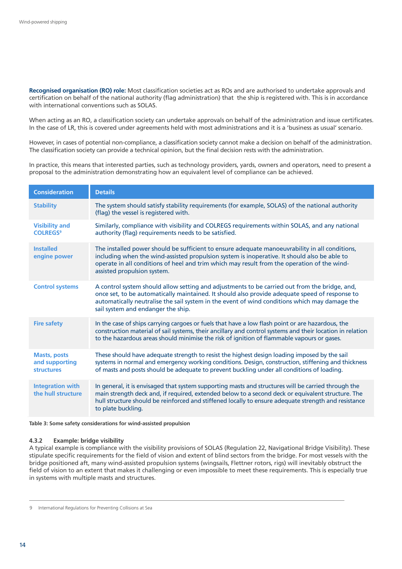**Recognised organisation (RO) role:** Most classification societies act as ROs and are authorised to undertake approvals and certification on behalf of the national authority (flag administration) that the ship is registered with. This is in accordance with international conventions such as SOLAS.

When acting as an RO, a classification society can undertake approvals on behalf of the administration and issue certificates. In the case of LR, this is covered under agreements held with most administrations and it is a 'business as usual' scenario.

However, in cases of potential non-compliance, a classification society cannot make a decision on behalf of the administration. The classification society can provide a technical opinion, but the final decision rests with the administration.

In practice, this means that interested parties, such as technology providers, yards, owners and operators, need to present a proposal to the administration demonstrating how an equivalent level of compliance can be achieved.

| <b>Consideration</b>                                                                                                                                         | <b>Details</b>                                                                                                                                                                                                                                                                                                                         |
|--------------------------------------------------------------------------------------------------------------------------------------------------------------|----------------------------------------------------------------------------------------------------------------------------------------------------------------------------------------------------------------------------------------------------------------------------------------------------------------------------------------|
| The system should satisfy stability requirements (for example, SOLAS) of the national authority<br><b>Stability</b><br>(flag) the vessel is registered with. |                                                                                                                                                                                                                                                                                                                                        |
| <b>Visibility and</b><br><b>COLREGS<sup>9</sup></b>                                                                                                          | Similarly, compliance with visibility and COLREGS requirements within SOLAS, and any national<br>authority (flag) requirements needs to be satisfied.                                                                                                                                                                                  |
| <b>Installed</b><br>engine power                                                                                                                             | The installed power should be sufficient to ensure adequate manoeuvrability in all conditions,<br>including when the wind-assisted propulsion system is inoperative. It should also be able to<br>operate in all conditions of heel and trim which may result from the operation of the wind-<br>assisted propulsion system.           |
| <b>Control systems</b>                                                                                                                                       | A control system should allow setting and adjustments to be carried out from the bridge, and,<br>once set, to be automatically maintained. It should also provide adequate speed of response to<br>automatically neutralise the sail system in the event of wind conditions which may damage the<br>sail system and endanger the ship. |
| <b>Fire safety</b>                                                                                                                                           | In the case of ships carrying cargoes or fuels that have a low flash point or are hazardous, the<br>construction material of sail systems, their ancillary and control systems and their location in relation<br>to the hazardous areas should minimise the risk of ignition of flammable vapours or gases.                            |
| <b>Masts, posts</b><br>and supporting<br><b>structures</b>                                                                                                   | These should have adequate strength to resist the highest design loading imposed by the sail<br>systems in normal and emergency working conditions. Design, construction, stiffening and thickness<br>of masts and posts should be adequate to prevent buckling under all conditions of loading.                                       |
| <b>Integration with</b><br>the hull structure                                                                                                                | In general, it is envisaged that system supporting masts and structures will be carried through the<br>main strength deck and, if required, extended below to a second deck or equivalent structure. The<br>hull structure should be reinforced and stiffened locally to ensure adequate strength and resistance<br>to plate buckling. |

**Table 3: Some safety considerations for wind-assisted propulsion**

#### **4.3.2 Example: bridge visibility**

A typical example is compliance with the visibility provisions of SOLAS (Regulation 22, Navigational Bridge Visibility). These stipulate specific requirements for the field of vision and extent of blind sectors from the bridge. For most vessels with the bridge positioned aft, many wind-assisted propulsion systems (wingsails, Flettner rotors, rigs) will inevitably obstruct the field of vision to an extent that makes it challenging or even impossible to meet these requirements. This is especially true in systems with multiple masts and structures.

<sup>9</sup> International Regulations for Preventing Collisions at Sea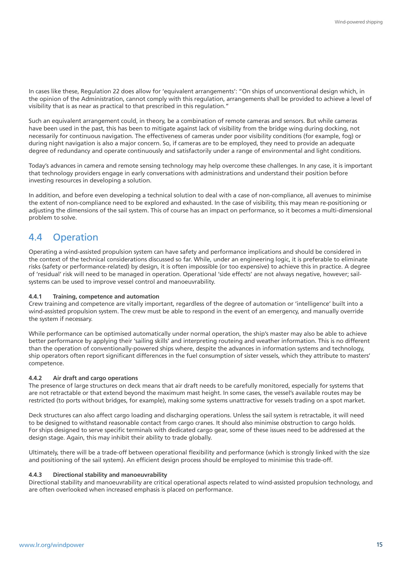In cases like these, Regulation 22 does allow for 'equivalent arrangements': "On ships of unconventional design which, in the opinion of the Administration, cannot comply with this regulation, arrangements shall be provided to achieve a level of visibility that is as near as practical to that prescribed in this regulation."

Such an equivalent arrangement could, in theory, be a combination of remote cameras and sensors. But while cameras have been used in the past, this has been to mitigate against lack of visibility from the bridge wing during docking, not necessarily for continuous navigation. The effectiveness of cameras under poor visibility conditions (for example, fog) or during night navigation is also a major concern. So, if cameras are to be employed, they need to provide an adequate degree of redundancy and operate continuously and satisfactorily under a range of environmental and light conditions.

Today's advances in camera and remote sensing technology may help overcome these challenges. In any case, it is important that technology providers engage in early conversations with administrations and understand their position before investing resources in developing a solution.

In addition, and before even developing a technical solution to deal with a case of non-compliance, all avenues to minimise the extent of non-compliance need to be explored and exhausted. In the case of visibility, this may mean re-positioning or adjusting the dimensions of the sail system. This of course has an impact on performance, so it becomes a multi-dimensional problem to solve.

## 4.4 Operation

Operating a wind-assisted propulsion system can have safety and performance implications and should be considered in the context of the technical considerations discussed so far. While, under an engineering logic, it is preferable to eliminate risks (safety or performance-related) by design, it is often impossible (or too expensive) to achieve this in practice. A degree of 'residual' risk will need to be managed in operation. Operational 'side effects' are not always negative, however; sailsystems can be used to improve vessel control and manoeuvrability.

#### **4.4.1 Training, competence and automation**

Crew training and competence are vitally important, regardless of the degree of automation or 'intelligence' built into a wind-assisted propulsion system. The crew must be able to respond in the event of an emergency, and manually override the system if necessary.

While performance can be optimised automatically under normal operation, the ship's master may also be able to achieve better performance by applying their 'sailing skills' and interpreting routeing and weather information. This is no different than the operation of conventionally-powered ships where, despite the advances in information systems and technology, ship operators often report significant differences in the fuel consumption of sister vessels, which they attribute to masters' competence.

#### **4.4.2 Air draft and cargo operations**

The presence of large structures on deck means that air draft needs to be carefully monitored, especially for systems that are not retractable or that extend beyond the maximum mast height. In some cases, the vessel's available routes may be restricted (to ports without bridges, for example), making some systems unattractive for vessels trading on a spot market.

Deck structures can also affect cargo loading and discharging operations. Unless the sail system is retractable, it will need to be designed to withstand reasonable contact from cargo cranes. It should also minimise obstruction to cargo holds. For ships designed to serve specific terminals with dedicated cargo gear, some of these issues need to be addressed at the design stage. Again, this may inhibit their ability to trade globally.

Ultimately, there will be a trade-off between operational flexibility and performance (which is strongly linked with the size and positioning of the sail system). An efficient design process should be employed to minimise this trade-off.

#### **4.4.3 Directional stability and manoeuvrability**

Directional stability and manoeuvrability are critical operational aspects related to wind-assisted propulsion technology, and are often overlooked when increased emphasis is placed on performance.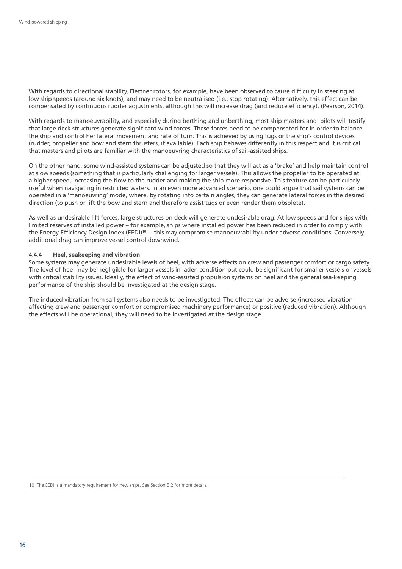With regards to directional stability, Flettner rotors, for example, have been observed to cause difficulty in steering at low ship speeds (around six knots), and may need to be neutralised (i.e., stop rotating). Alternatively, this effect can be compensated by continuous rudder adjustments, although this will increase drag (and reduce efficiency). (Pearson, 2014).

With regards to manoeuvrability, and especially during berthing and unberthing, most ship masters and pilots will testify that large deck structures generate significant wind forces. These forces need to be compensated for in order to balance the ship and control her lateral movement and rate of turn. This is achieved by using tugs or the ship's control devices (rudder, propeller and bow and stern thrusters, if available). Each ship behaves differently in this respect and it is critical that masters and pilots are familiar with the manoeuvring characteristics of sail-assisted ships.

On the other hand, some wind-assisted systems can be adjusted so that they will act as a 'brake' and help maintain control at slow speeds (something that is particularly challenging for larger vessels). This allows the propeller to be operated at a higher speed, increasing the flow to the rudder and making the ship more responsive. This feature can be particularly useful when navigating in restricted waters. In an even more advanced scenario, one could argue that sail systems can be operated in a 'manoeuvring' mode, where, by rotating into certain angles, they can generate lateral forces in the desired direction (to push or lift the bow and stern and therefore assist tugs or even render them obsolete).

As well as undesirable lift forces, large structures on deck will generate undesirable drag. At low speeds and for ships with limited reserves of installed power – for example, ships where installed power has been reduced in order to comply with the Energy Efficiency Design Index (EEDI)<sup>10</sup> – this may compromise manoeuvrability under adverse conditions. Conversely, additional drag can improve vessel control downwind.

#### **4.4.4 Heel, seakeeping and vibration**

Some systems may generate undesirable levels of heel, with adverse effects on crew and passenger comfort or cargo safety. The level of heel may be negligible for larger vessels in laden condition but could be significant for smaller vessels or vessels with critical stability issues. Ideally, the effect of wind-assisted propulsion systems on heel and the general sea-keeping performance of the ship should be investigated at the design stage.

The induced vibration from sail systems also needs to be investigated. The effects can be adverse (increased vibration affecting crew and passenger comfort or compromised machinery performance) or positive (reduced vibration). Although the effects will be operational, they will need to be investigated at the design stage.

<sup>10</sup> The EEDI is a mandatory requirement for new ships. See Section 5.2 for more details.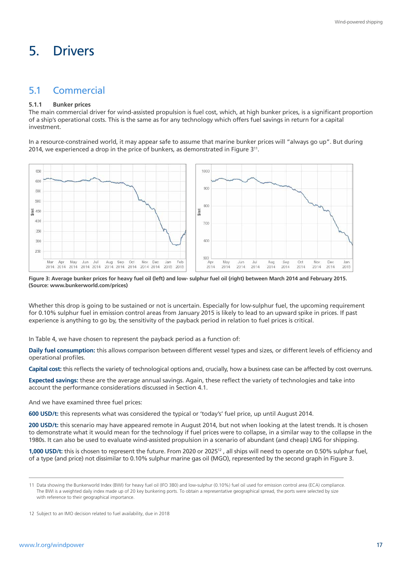# 5. Drivers

## 5.1 Commercial

#### **5.1.1 Bunker prices**

The main commercial driver for wind-assisted propulsion is fuel cost, which, at high bunker prices, is a significant proportion of a ship's operational costs. This is the same as for any technology which offers fuel savings in return for a capital investment.

In a resource-constrained world, it may appear safe to assume that marine bunker prices will "always go up". But during 2014, we experienced a drop in the price of bunkers, as demonstrated in Figure 311.



**Figure 3: Average bunker prices for heavy fuel oil (left) and low- sulphur fuel oil (right) between March 2014 and February 2015. (Source: www.bunkerworld.com/prices)**

Whether this drop is going to be sustained or not is uncertain. Especially for low-sulphur fuel, the upcoming requirement for 0.10% sulphur fuel in emission control areas from January 2015 is likely to lead to an upward spike in prices. If past experience is anything to go by, the sensitivity of the payback period in relation to fuel prices is critical.

In Table 4, we have chosen to represent the payback period as a function of:

**Daily fuel consumption:** this allows comparison between different vessel types and sizes, or different levels of efficiency and operational profiles.

**Capital cost:** this reflects the variety of technological options and, crucially, how a business case can be affected by cost overruns.

**Expected savings:** these are the average annual savings. Again, these reflect the variety of technologies and take into account the performance considerations discussed in Section 4.1.

And we have examined three fuel prices:

**600 USD/t:** this represents what was considered the typical or 'today's' fuel price, up until August 2014.

**200 USD/t:** this scenario may have appeared remote in August 2014, but not when looking at the latest trends. It is chosen to demonstrate what it would mean for the technology if fuel prices were to collapse, in a similar way to the collapse in the 1980s. It can also be used to evaluate wind-assisted propulsion in a scenario of abundant (and cheap) LNG for shipping.

**1,000 USD/t:** this is chosen to represent the future. From 2020 or 2025<sup>12</sup>, all ships will need to operate on 0.50% sulphur fuel, of a type (and price) not dissimilar to 0.10% sulphur marine gas oil (MGO), represented by the second graph in Figure 3.

<sup>11</sup> Data showing the Bunkerworld Index (BWI) for heavy fuel oil (IFO 380) and low-sulphur (0.10%) fuel oil used for emission control area (ECA) compliance. The BWI is a weighted daily index made up of 20 key bunkering ports. To obtain a representative geographical spread, the ports were selected by size with reference to their geographical importance.

<sup>12</sup> Subject to an IMO decision related to fuel availability, due in 2018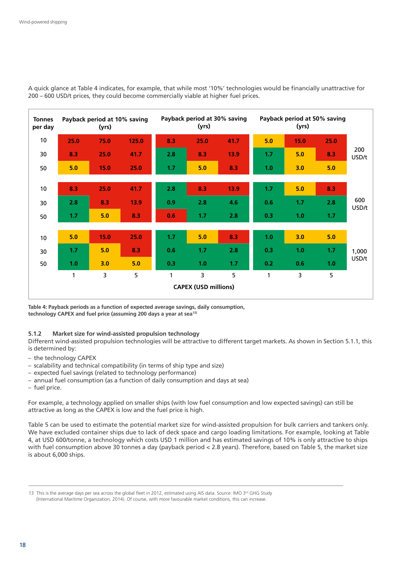

A quick glance at Table 4 indicates, for example, that while most '10%' technologies would be financially unattractive for 200 – 600 USD/t prices, they could become commercially viable at higher fuel prices.

**Table 4: Payback periods as a function of expected average savings, daily consumption, technology CAPEX and fuel price (assuming 200 days a year at sea13)**

#### **5.1.2 Market size for wind-assisted propulsion technology**

Different wind-assisted propulsion technologies will be attractive to different target markets. As shown in Section 5.1.1, this is determined by:

- the technology CAPEX
- scalability and technical compatibility (in terms of ship type and size)
- expected fuel savings (related to technology performance)
- annual fuel consumption (as a function of daily consumption and days at sea)
- fuel price.

For example, a technology applied on smaller ships (with low fuel consumption and low expected savings) can still be attractive as long as the CAPEX is low and the fuel price is high.

Table 5 can be used to estimate the potential market size for wind-assisted propulsion for bulk carriers and tankers only. We have excluded container ships due to lack of deck space and cargo loading limitations. For example, looking at Table 4, at USD 600/tonne, a technology which costs USD 1 million and has estimated savings of 10% is only attractive to ships with fuel consumption above 30 tonnes a day (payback period < 2.8 years). Therefore, based on Table 5, the market size is about 6,000 ships.

<sup>13</sup> This is the average days per sea across the global fleet in 2012, estimated using AIS data. Source: IMO 3<sup>rd</sup> GHG Study (International Maritime Organization, 2014). Of course, with more favourable market conditions, this can increase.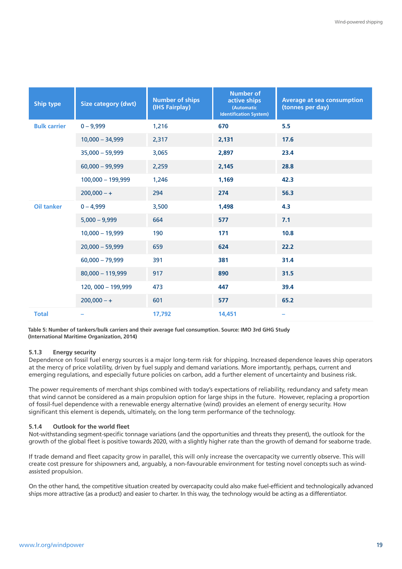| <b>Ship type</b>    | <b>Size category (dwt)</b> | <b>Number of ships</b><br>(IHS Fairplay) | <b>Number of</b><br>active ships<br>(Automatic<br><b>Identification System)</b> | <b>Average at sea consumption</b><br>(tonnes per day) |
|---------------------|----------------------------|------------------------------------------|---------------------------------------------------------------------------------|-------------------------------------------------------|
| <b>Bulk carrier</b> | $0 - 9,999$                | 1,216                                    | 670                                                                             | 5.5                                                   |
|                     | $10,000 - 34,999$          | 2,317                                    | 2,131                                                                           | 17.6                                                  |
|                     | $35,000 - 59,999$          | 3,065                                    | 2,897                                                                           | 23.4                                                  |
|                     | $60,000 - 99,999$          | 2,259                                    | 2,145                                                                           | 28.8                                                  |
|                     | 100,000 - 199,999          | 1,246                                    | 1,169                                                                           | 42.3                                                  |
|                     | $200,000 - +$              | 294                                      | 274                                                                             | 56.3                                                  |
| <b>Oil tanker</b>   | $0 - 4,999$                | 3,500                                    | 1,498                                                                           | 4.3                                                   |
|                     | $5,000 - 9,999$            | 664                                      | 577                                                                             | 7.1                                                   |
|                     | $10,000 - 19,999$          | 190                                      | 171                                                                             | 10.8                                                  |
|                     | $20,000 - 59,999$          | 659                                      | 624                                                                             | 22.2                                                  |
|                     | $60,000 - 79,999$          | 391                                      | 381                                                                             | 31.4                                                  |
|                     | $80,000 - 119,999$         | 917                                      | 890                                                                             | 31.5                                                  |
|                     | 120, 000 - 199,999         | 473                                      | 447                                                                             | 39.4                                                  |
|                     | $200,000 - +$              | 601                                      | 577                                                                             | 65.2                                                  |
| <b>Total</b>        |                            | 17,792                                   | 14,451                                                                          | -                                                     |

**Table 5: Number of tankers/bulk carriers and their average fuel consumption. Source: IMO 3rd GHG Study (International Maritime Organization, 2014)**

#### **5.1.3 Energy security**

Dependence on fossil fuel energy sources is a major long-term risk for shipping. Increased dependence leaves ship operators at the mercy of price volatility, driven by fuel supply and demand variations. More importantly, perhaps, current and emerging regulations, and especially future policies on carbon, add a further element of uncertainty and business risk.

The power requirements of merchant ships combined with today's expectations of reliability, redundancy and safety mean that wind cannot be considered as a main propulsion option for large ships in the future. However, replacing a proportion of fossil-fuel dependence with a renewable energy alternative (wind) provides an element of energy security. How significant this element is depends, ultimately, on the long term performance of the technology.

#### **5.1.4 Outlook for the world fleet**

Not-withstanding segment-specific tonnage variations (and the opportunities and threats they present), the outlook for the growth of the global fleet is positive towards 2020, with a slightly higher rate than the growth of demand for seaborne trade.

If trade demand and fleet capacity grow in parallel, this will only increase the overcapacity we currently observe. This will create cost pressure for shipowners and, arguably, a non-favourable environment for testing novel concepts such as windassisted propulsion.

On the other hand, the competitive situation created by overcapacity could also make fuel-efficient and technologically advanced ships more attractive (as a product) and easier to charter. In this way, the technology would be acting as a differentiator.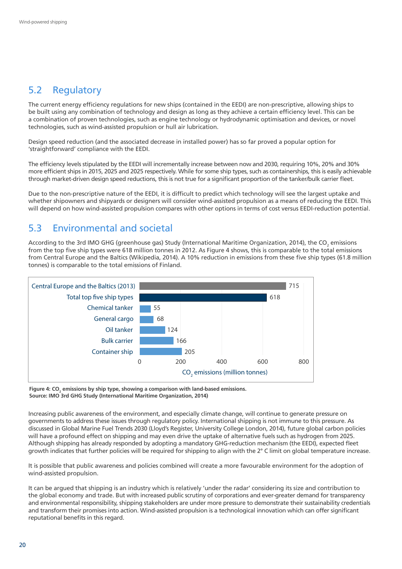## 5.2 Regulatory

The current energy efficiency regulations for new ships (contained in the EEDI) are non-prescriptive, allowing ships to be built using any combination of technology and design as long as they achieve a certain efficiency level. This can be a combination of proven technologies, such as engine technology or hydrodynamic optimisation and devices, or novel technologies, such as wind-assisted propulsion or hull air lubrication.

Design speed reduction (and the associated decrease in installed power) has so far proved a popular option for 'straightforward' compliance with the EEDI.

The efficiency levels stipulated by the EEDI will incrementally increase between now and 2030, requiring 10%, 20% and 30% more efficient ships in 2015, 2025 and 2025 respectively. While for some ship types, such as containerships, this is easily achievable through market-driven design speed reductions, this is not true for a significant proportion of the tanker/bulk carrier fleet.

Due to the non-prescriptive nature of the EEDI, it is difficult to predict which technology will see the largest uptake and whether shipowners and shipvards or designers will consider wind-assisted propulsion as a means of reducing the EEDI. This will depend on how wind-assisted propulsion compares with other options in terms of cost versus EEDI-reduction potential.

## 5.3 Environmental and societal

According to the 3rd IMO GHG (greenhouse gas) Study (International Maritime Organization, 2014), the CO<sub>2</sub> emissions from the top five ship types were 618 million tonnes in 2012. As Figure 4 shows, this is comparable to the total emissions from Central Europe and the Baltics (Wikipedia, 2014). A 10% reduction in emissions from these five ship types (61.8 million tonnes) is comparable to the total emissions of Finland.



Figure 4: CO<sub>2</sub> emissions by ship type, showing a comparison with land-based emissions. **Source: IMO 3rd GHG Study (International Maritime Organization, 2014)**

Increasing public awareness of the environment, and especially climate change, will continue to generate pressure on governments to address these issues through regulatory policy. International shipping is not immune to this pressure. As discussed in Global Marine Fuel Trends 2030 (Lloyd's Register, University College London, 2014), future global carbon policies will have a profound effect on shipping and may even drive the uptake of alternative fuels such as hydrogen from 2025. Although shipping has already responded by adopting a mandatory GHG-reduction mechanism (the EEDI), expected fleet growth indicates that further policies will be required for shipping to align with the 2° C limit on global temperature increase.

It is possible that public awareness and policies combined will create a more favourable environment for the adoption of wind-assisted propulsion.

It can be argued that shipping is an industry which is relatively 'under the radar' considering its size and contribution to the global economy and trade. But with increased public scrutiny of corporations and ever-greater demand for transparency and environmental responsibility, shipping stakeholders are under more pressure to demonstrate their sustainability credentials and transform their promises into action. Wind-assisted propulsion is a technological innovation which can offer significant reputational benefits in this regard.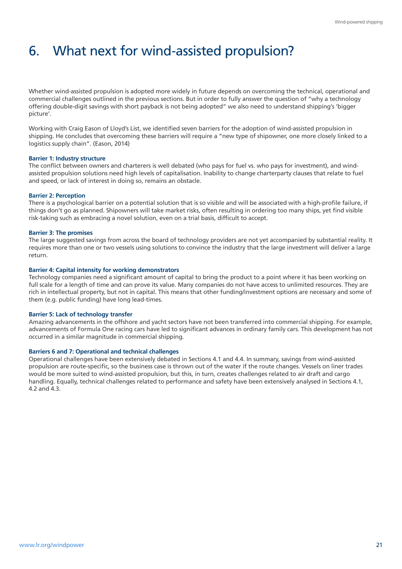# 6. What next for wind-assisted propulsion?

Whether wind-assisted propulsion is adopted more widely in future depends on overcoming the technical, operational and commercial challenges outlined in the previous sections. But in order to fully answer the question of "why a technology offering double-digit savings with short payback is not being adopted" we also need to understand shipping's 'bigger picture'.

Working with Craig Eason of Lloyd's List, we identified seven barriers for the adoption of wind-assisted propulsion in shipping. He concludes that overcoming these barriers will require a "new type of shipowner, one more closely linked to a logistics supply chain". (Eason, 2014)

#### **Barrier 1: Industry structure**

The conflict between owners and charterers is well debated (who pays for fuel vs. who pays for investment), and windassisted propulsion solutions need high levels of capitalisation. Inability to change charterparty clauses that relate to fuel and speed, or lack of interest in doing so, remains an obstacle.

#### **Barrier 2: Perception**

There is a psychological barrier on a potential solution that is so visible and will be associated with a high-profile failure, if things don't go as planned. Shipowners will take market risks, often resulting in ordering too many ships, yet find visible risk-taking such as embracing a novel solution, even on a trial basis, difficult to accept.

#### **Barrier 3: The promises**

The large suggested savings from across the board of technology providers are not yet accompanied by substantial reality. It requires more than one or two vessels using solutions to convince the industry that the large investment will deliver a large return.

#### **Barrier 4: Capital intensity for working demonstrators**

Technology companies need a significant amount of capital to bring the product to a point where it has been working on full scale for a length of time and can prove its value. Many companies do not have access to unlimited resources. They are rich in intellectual property, but not in capital. This means that other funding/investment options are necessary and some of them (e.g. public funding) have long lead-times.

#### **Barrier 5: Lack of technology transfer**

Amazing advancements in the offshore and yacht sectors have not been transferred into commercial shipping. For example, advancements of Formula One racing cars have led to significant advances in ordinary family cars. This development has not occurred in a similar magnitude in commercial shipping.

#### **Barriers 6 and 7: Operational and technical challenges**

Operational challenges have been extensively debated in Sections 4.1 and 4.4. In summary, savings from wind-assisted propulsion are route-specific, so the business case is thrown out of the water if the route changes. Vessels on liner trades would be more suited to wind-assisted propulsion, but this, in turn, creates challenges related to air draft and cargo handling. Equally, technical challenges related to performance and safety have been extensively analysed in Sections 4.1, 4.2 and 4.3.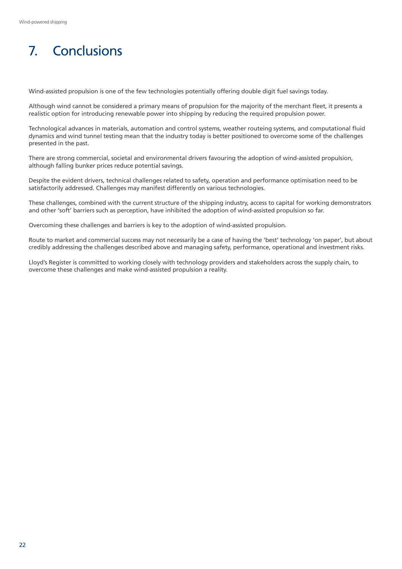# 7. Conclusions

Wind-assisted propulsion is one of the few technologies potentially offering double digit fuel savings today.

Although wind cannot be considered a primary means of propulsion for the majority of the merchant fleet, it presents a realistic option for introducing renewable power into shipping by reducing the required propulsion power.

Technological advances in materials, automation and control systems, weather routeing systems, and computational fluid dynamics and wind tunnel testing mean that the industry today is better positioned to overcome some of the challenges presented in the past.

There are strong commercial, societal and environmental drivers favouring the adoption of wind-assisted propulsion, although falling bunker prices reduce potential savings.

Despite the evident drivers, technical challenges related to safety, operation and performance optimisation need to be satisfactorily addressed. Challenges may manifest differently on various technologies.

These challenges, combined with the current structure of the shipping industry, access to capital for working demonstrators and other 'soft' barriers such as perception, have inhibited the adoption of wind-assisted propulsion so far.

Overcoming these challenges and barriers is key to the adoption of wind-assisted propulsion.

Route to market and commercial success may not necessarily be a case of having the 'best' technology 'on paper', but about credibly addressing the challenges described above and managing safety, performance, operational and investment risks.

Lloyd's Register is committed to working closely with technology providers and stakeholders across the supply chain, to overcome these challenges and make wind-assisted propulsion a reality.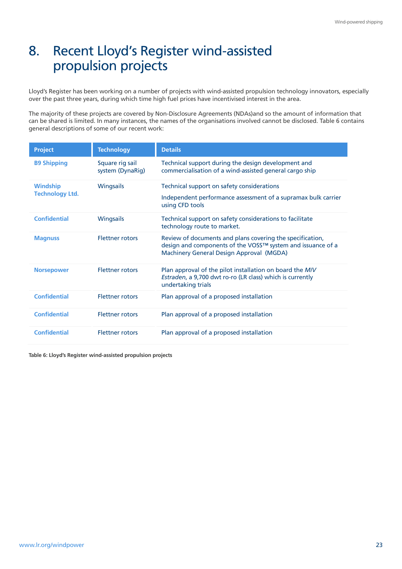## 8. Recent Lloyd's Register wind-assisted propulsion projects

Lloyd's Register has been working on a number of projects with wind-assisted propulsion technology innovators, especially over the past three years, during which time high fuel prices have incentivised interest in the area.

The majority of these projects are covered by Non-Disclosure Agreements (NDAs)and so the amount of information that can be shared is limited. In many instances, the names of the organisations involved cannot be disclosed. Table 6 contains general descriptions of some of our recent work:

| <b>Project</b>         | <b>Technology</b>                   | <b>Details</b>                                                                                                                                                       |
|------------------------|-------------------------------------|----------------------------------------------------------------------------------------------------------------------------------------------------------------------|
| <b>B9 Shipping</b>     | Square rig sail<br>system (DynaRig) | Technical support during the design development and<br>commercialisation of a wind-assisted general cargo ship                                                       |
| <b>Windship</b>        | <b>Wingsails</b>                    | Technical support on safety considerations                                                                                                                           |
| <b>Technology Ltd.</b> |                                     | Independent performance assessment of a supramax bulk carrier<br>using CFD tools                                                                                     |
| <b>Confidential</b>    | <b>Wingsails</b>                    | Technical support on safety considerations to facilitate<br>technology route to market.                                                                              |
| <b>Magnuss</b>         | <b>Flettner rotors</b>              | Review of documents and plans covering the specification,<br>design and components of the VOSS™ system and issuance of a<br>Machinery General Design Approval (MGDA) |
| <b>Norsepower</b>      | <b>Flettner rotors</b>              | Plan approval of the pilot installation on board the M/V<br>Estraden, a 9,700 dwt ro-ro (LR class) which is currently<br>undertaking trials                          |
| <b>Confidential</b>    | <b>Flettner rotors</b>              | Plan approval of a proposed installation                                                                                                                             |
| <b>Confidential</b>    | <b>Flettner rotors</b>              | Plan approval of a proposed installation                                                                                                                             |
| <b>Confidential</b>    | <b>Flettner rotors</b>              | Plan approval of a proposed installation                                                                                                                             |

**Table 6: Lloyd's Register wind-assisted propulsion projects**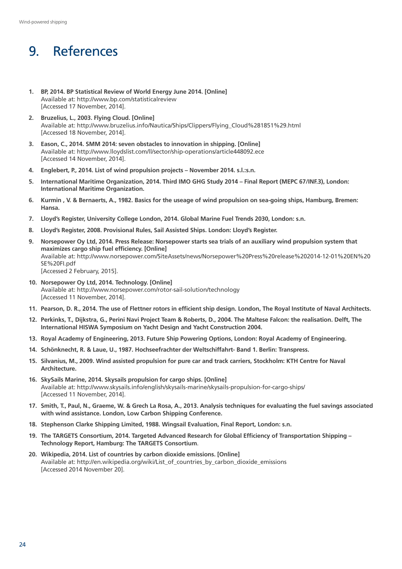# 9. References

- **1. BP, 2014. BP Statistical Review of World Energy June 2014. [Online]**  Available at:<http://www.bp.com/statisticalreview> [Accessed 17 November, 2014].
- **2. Bruzelius, L., 2003. Flying Cloud. [Online]**  Available at: [http://www.bruzelius.info/Nautica/Ships/Clippers/Flying\\_Cloud%281851%29.html](http://www.bruzelius.info/Nautica/Ships/Clippers/Flying_Cloud%281851%29.html) [Accessed 18 November, 2014].
- **3. Eason, C., 2014. SMM 2014: seven obstacles to innovation in shipping. [Online]** Available at:<http://www.lloydslist.com/ll/sector/ship-operations/article448092.ece> [Accessed 14 November, 2014].
- **4. Englebert, P., 2014. List of wind propulsion projects November 2014. s.l.:s.n.**
- **5. International Maritime Organization, 2014. Third IMO GHG Study 2014 Final Report (MEPC 67/INF.3), London: International Maritime Organization.**
- **6. Kurmin , V. & Bernaerts, A., 1982. Basics for the useage of wind propulsion on sea-going ships, Hamburg, Bremen: Hansa.**
- **7. Lloyd's Register, University College London, 2014. Global Marine Fuel Trends 2030, London: s.n.**
- **8. Lloyd's Register, 2008. Provisional Rules, Sail Assisted Ships. London: Lloyd's Register.**
- **9. Norsepower Oy Ltd, 2014. Press Release: Norsepower starts sea trials of an auxiliary wind propulsion system that maximizes cargo ship fuel efficiency. [Online]**  Available at: [http://www.norsepower.com/SiteAssets/news/Norsepower%20Press%20release%202014-12-01%20EN%20](http://www.norsepower.com/SiteAssets/news/Norsepower%20Press%20release%202014-12-01%20EN%20SE%20FI.pdf ) [SE%20FI.pdf](http://www.norsepower.com/SiteAssets/news/Norsepower%20Press%20release%202014-12-01%20EN%20SE%20FI.pdf ) [Accessed 2 February, 2015].
- **10. Norsepower Oy Ltd, 2014. Technology. [Online]** Available at:<http://www.norsepower.com/rotor-sail-solution/technology> [Accessed 11 November, 2014].
- **11. Pearson, D. R., 2014. The use of Flettner rotors in efficient ship design. London, The Royal Institute of Naval Architects.**
- **12. Perkinks, T., Dijkstra, G., Perini Navi Project Team & Roberts, D., 2004. The Maltese Falcon: the realisation. Delft, The International HISWA Symposium on Yacht Design and Yacht Construction 2004.**
- **13. Royal Academy of Engineering, 2013. Future Ship Powering Options, London: Royal Academy of Engineering.**
- **14. Schönknecht, R. & Laue, U., 1987. Hochseefrachter der Weltschiffahrt- Band 1. Berlin: Transpress.**
- **15. Silvanius, M., 2009. Wind assisted propulsion for pure car and track carriers, Stockholm: KTH Centre for Naval Architecture.**
- **16. SkySails Marine, 2014. Skysails propulsion for cargo ships. [Online]** Available at:<http://www.skysails.info/english/skysails-marine/skysails-propulsion-for-cargo-ships/> [Accessed 11 November, 2014].
- **17. Smith, T., Paul, N., Graeme, W. & Grech La Rosa, A., 2013. Analysis techniques for evaluating the fuel savings associated with wind assistance. London, Low Carbon Shipping Conference.**
- **18. Stephenson Clarke Shipping Limited, 1988. Wingsail Evaluation, Final Report, London: s.n.**
- **19. The TARGETS Consortium, 2014. Targeted Advanced Research for Global Efficiency of Transportation Shipping Technology Report, Hamburg: The TARGETS Consortium**.
- **20. Wikipedia, 2014. List of countries by carbon dioxide emissions. [Online]**  Available at: [http://en.wikipedia.org/wiki/List\\_of\\_countries\\_by\\_carbon\\_dioxide\\_emissions](http://en.wikipedia.org/wiki/List_of_countries_by_carbon_dioxide_emissions) [Accessed 2014 November 20].